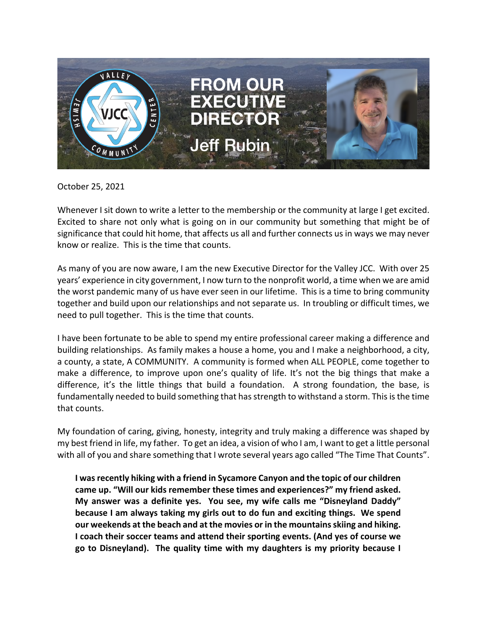

October 25, 2021

Whenever I sit down to write a letter to the membership or the community at large I get excited. Excited to share not only what is going on in our community but something that might be of significance that could hit home, that affects us all and further connects us in ways we may never know or realize. This is the time that counts.

As many of you are now aware, I am the new Executive Director for the Valley JCC. With over 25 years' experience in city government, I now turn to the nonprofit world, a time when we are amid the worst pandemic many of us have ever seen in our lifetime. This is a time to bring community together and build upon our relationships and not separate us. In troubling or difficult times, we need to pull together. This is the time that counts.

I have been fortunate to be able to spend my entire professional career making a difference and building relationships. As family makes a house a home, you and I make a neighborhood, a city, a county, a state, A COMMUNITY. A community is formed when ALL PEOPLE, come together to make a difference, to improve upon one's quality of life. It's not the big things that make a difference, it's the little things that build a foundation. A strong foundation, the base, is fundamentally needed to build something that has strength to withstand a storm. This is the time that counts.

My foundation of caring, giving, honesty, integrity and truly making a difference was shaped by my best friend in life, my father. To get an idea, a vision of who I am, I want to get a little personal with all of you and share something that I wrote several years ago called "The Time That Counts".

**I was recently hiking with a friend in Sycamore Canyon and the topic of our children came up. "Will our kids remember these times and experiences?" my friend asked. My answer was a definite yes. You see, my wife calls me "Disneyland Daddy" because I am always taking my girls out to do fun and exciting things. We spend our weekends at the beach and at the movies or in the mountains skiing and hiking. I coach their soccer teams and attend their sporting events. (And yes of course we go to Disneyland). The quality time with my daughters is my priority because I**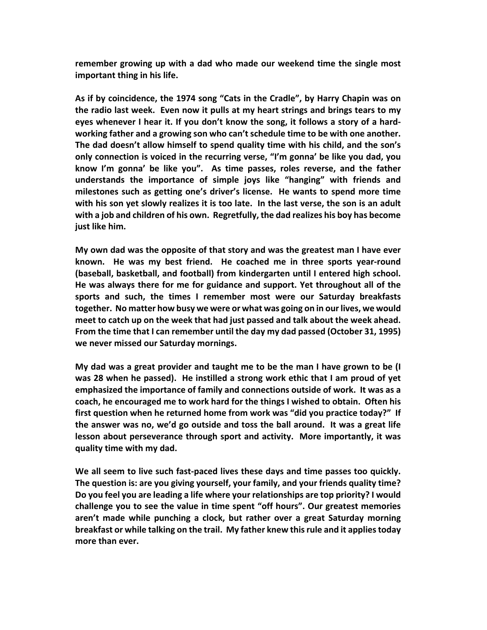**remember growing up with a dad who made our weekend time the single most important thing in his life.**

**As if by coincidence, the 1974 song "Cats in the Cradle", by Harry Chapin was on the radio last week. Even now it pulls at my heart strings and brings tears to my eyes whenever I hear it. If you don't know the song, it follows a story of a hardworking father and a growing son who can't schedule time to be with one another. The dad doesn't allow himself to spend quality time with his child, and the son's only connection is voiced in the recurring verse, "I'm gonna' be like you dad, you know I'm gonna' be like you". As time passes, roles reverse, and the father understands the importance of simple joys like "hanging" with friends and milestones such as getting one's driver's license. He wants to spend more time with his son yet slowly realizes it is too late. In the last verse, the son is an adult with a job and children of his own. Regretfully, the dad realizes his boy has become just like him.**

**My own dad was the opposite of that story and was the greatest man I have ever known. He was my best friend. He coached me in three sports year-round (baseball, basketball, and football) from kindergarten until I entered high school. He was always there for me for guidance and support. Yet throughout all of the sports and such, the times I remember most were our Saturday breakfasts together. No matter how busy we were or what was going on in our lives, we would meet to catch up on the week that had just passed and talk about the week ahead. From the time that I can remember until the day my dad passed (October 31, 1995) we never missed our Saturday mornings.**

**My dad was a great provider and taught me to be the man I have grown to be (I was 28 when he passed). He instilled a strong work ethic that I am proud of yet emphasized the importance of family and connections outside of work. It was as a coach, he encouraged me to work hard for the things I wished to obtain. Often his first question when he returned home from work was "did you practice today?" If the answer was no, we'd go outside and toss the ball around. It was a great life lesson about perseverance through sport and activity. More importantly, it was quality time with my dad.**

**We all seem to live such fast-paced lives these days and time passes too quickly. The question is: are you giving yourself, your family, and your friends quality time? Do you feel you are leading a life where your relationships are top priority? I would challenge you to see the value in time spent "off hours". Our greatest memories aren't made while punching a clock, but rather over a great Saturday morning breakfast or while talking on the trail. My father knew this rule and it applies today more than ever.**